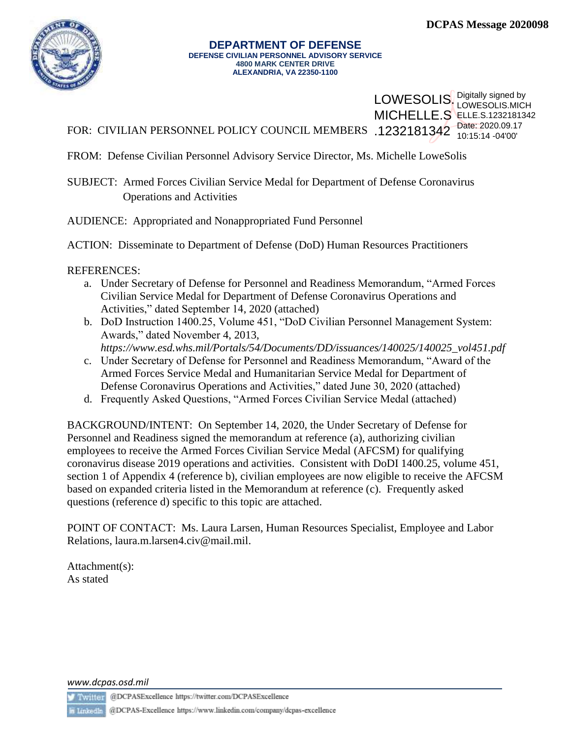

#### **DEPARTMENT OF DEFENSE DEFENSE CIVILIAN PERSONNEL ADVISORY SERVICE 4800 MARK CENTER DRIVE ALEXANDRIA, VA 22350-1100**

## LOWESOLIS. Digitally signed by **MICHELLE.S ELLE.S.1232181342** LOWESOLIS.MICH 10:15:14 -04'00'

FOR: CIVILIAN PERSONNEL POLICY COUNCIL MEMBERS .1232181342<sup>Date: 2020.09.17</sup>

FROM: Defense Civilian Personnel Advisory Service Director, Ms. Michelle LoweSolis

SUBJECT: Armed Forces Civilian Service Medal for Department of Defense Coronavirus Operations and Activities

AUDIENCE: Appropriated and Nonappropriated Fund Personnel

ACTION: Disseminate to Department of Defense (DoD) Human Resources Practitioners

REFERENCES:

- a. Under Secretary of Defense for Personnel and Readiness Memorandum, "Armed Forces Civilian Service Medal for Department of Defense Coronavirus Operations and Activities," dated September 14, 2020 (attached)
- b. DoD Instruction 1400.25, Volume 451, "DoD Civilian Personnel Management System: Awards," dated November 4, 2013,
- *https://www.esd.whs.mil/Portals/54/Documents/DD/issuances/140025/140025\_vol451.pdf* c. Under Secretary of Defense for Personnel and Readiness Memorandum, "Award of the
- Armed Forces Service Medal and Humanitarian Service Medal for Department of Defense Coronavirus Operations and Activities," dated June 30, 2020 (attached)
- d. Frequently Asked Questions, "Armed Forces Civilian Service Medal (attached)

BACKGROUND/INTENT: On September 14, 2020, the Under Secretary of Defense for Personnel and Readiness signed the memorandum at reference (a), authorizing civilian employees to receive the Armed Forces Civilian Service Medal (AFCSM) for qualifying coronavirus disease 2019 operations and activities. Consistent with DoDI 1400.25, volume 451, section 1 of Appendix 4 (reference b), civilian employees are now eligible to receive the AFCSM based on expanded criteria listed in the Memorandum at reference (c). Frequently asked questions (reference d) specific to this topic are attached.

POINT OF CONTACT: Ms. Laura Larsen, Human Resources Specialist, Employee and Labor Relations, laura.m.larsen4.civ@mail.mil.

Attachment(s): As stated

*www.dcpas.osd.mil*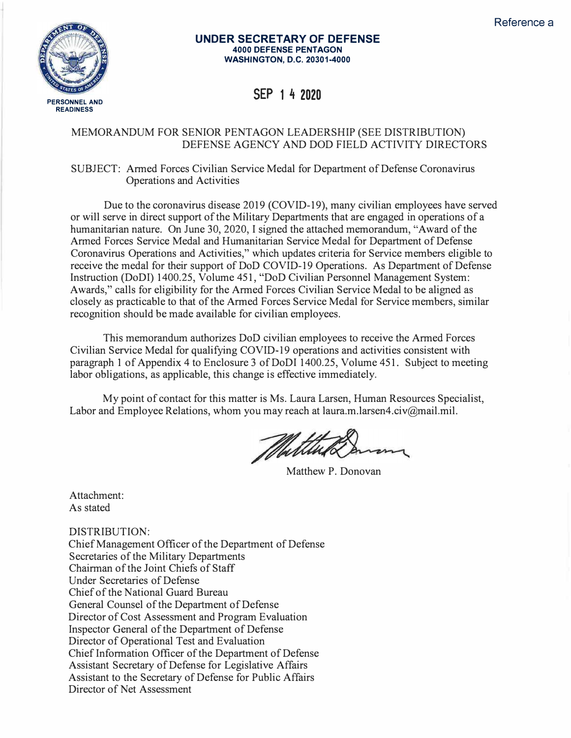

#### **UNDER SECRETARY OF DEFENSE 4000 DEFENSE PENTAGON WASHINGTON, D.C. 20301-4000**

**SEP 1 4 2020** 

### MEMORANDUM FOR SENIOR PENTAGON LEADERSHIP (SEE DISTRIBUTION) DEFENSE AGENCY AND DOD FIELD ACTIVITY DIRECTORS

#### SUBJECT: Armed Forces Civilian Service Medal for Department of Defense Coronavirus Operations and Activities

Due to the coronavirus disease 2019 (COVID-19), many civilian employees have served or will serve in direct support of the Military Departments that are engaged in operations of a humanitarian nature. On June 30, 2020, I signed the attached memorandum, "Award of the Armed Forces Service Medal and Humanitarian Service Medal for Department of Defense Coronavirus Operations and Activities," which updates criteria for Service members eligible to receive the medal for their support of DoD COVID-19 Operations. As Department of Defense Instruction (DoDI) 1400.25, Volume 451, "DoD Civilian Personnel Management System: Awards," calls for eligibility for the Armed Forces Civilian Service Medal to be aligned as closely as practicable to that of the Armed Forces Service Medal for Service members, similar recognition should be made available for civilian employees.

This memorandum authorizes DoD civilian employees to receive the Armed Forces Civilian Service Medal for qualifying COVID-19 operations and activities consistent with paragraph 1 of Appendix 4 to Enclosure 3 of DoDI 1400.25, Volume 451. Subject to meeting labor obligations, as applicable, this change is effective immediately.

My point of contact for this matter is Ms. Laura Larsen, Human Resources Specialist, Labor and Employee Relations, whom you may reach at laura.m.larsen4.civ@mail.mil.

Matthew P. Donovan

Attachment: As stated

DISTRIBUTION:

Chief Management Officer of the Department of Defense Secretaries of the Military Departments Chairman of the Joint Chiefs of Staff Under Secretaries of Defense Chief of the National Guard Bureau General Counsel of the Department of Defense Director of Cost Assessment and Program Evaluation Inspector General of the Department of Defense Director of Operational Test and Evaluation Chief Information Officer of the Department of Defense Assistant Secretary of Defense for Legislative Affairs Assistant to the Secretary of Defense for Public Affairs Director of Net Assessment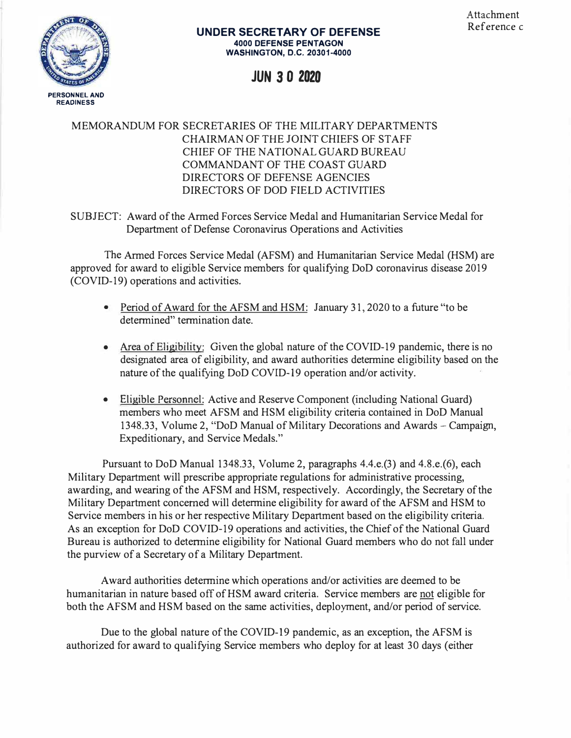

#### **UNDER SECRETARY OF DEFENSE 4000 DEFENSE PENTAGON WASHINGTON, D.C. 20301-4000**

## **JUN** *3* **0 2020**

## MEMORANDUM FOR SECRETARIES OF THE MILITARY DEPARTMENTS CHAIRMAN OF THE JOINT CHIEFS OF STAFF CHIEF OF THE NATIONAL GUARD BUREAU COMMANDANT OF THE COAST GUARD DIRECTORS OF DEFENSE AGENCIES DIRECTORS OF DOD FIELD ACTIVITIES

SUBJECT: Award of the Armed Forces Service Medal and Humanitarian Service Medal for Department of Defense Coronavirus Operations and Activities

The Armed Forces Service Medal (AFSM) and Humanitarian Service Medal (HSM) are approved for award to eligible Service members for qualifying DoD coronavirus disease 2019 (COVID-19) operations and activities.

- Period of Award for the AFSM and HSM: January 31, 2020 to a future "to be determined" termination date.
- Area of Eligibility: Given the global nature of the COVID-19 pandemic, there is no designated area of eligibility, and award authorities determine eligibility based on the nature of the qualifying DoD COVID-19 operation and/or activity.
- Eligible Personnel: Active and Reserve Component (including National Guard) members who meet AFSM and HSM eligibility criteria contained in DoD Manual 1348.33, Volume 2, "DoD Manual of Military Decorations and Awards - Campaign, Expeditionary, and Service Medals."

Pursuant to DoD Manual 1348.33, Volume 2, paragraphs 4.4.e.(3) and 4.8.e.(6), each Military Department will prescribe appropriate regulations for administrative processing, awarding, and wearing of the AFSM and HSM, respectively. Accordingly, the Secretary of the Military Department concerned will determine eligibility for award of the AFSM and HSM to Service members in his or her respective Military Department based on the eligibility criteria. As an exception for DoD COVID-19 operations and activities, the Chief of the National Guard Bureau is authorized to determine eligibility for National Guard members who do not fall under the purview of a Secretary of a Military Department.

Award authorities determine which operations and/or activities are deemed to be humanitarian in nature based off of HSM award criteria. Service members are not eligible for both the AFSM and HSM based on the same activities, deployment, and/or period of service.

Due to the global nature of the COVID-19 pandemic, as an exception, the AFSM is authorized for award to qualifying Service members who deploy for at least 30 days ( either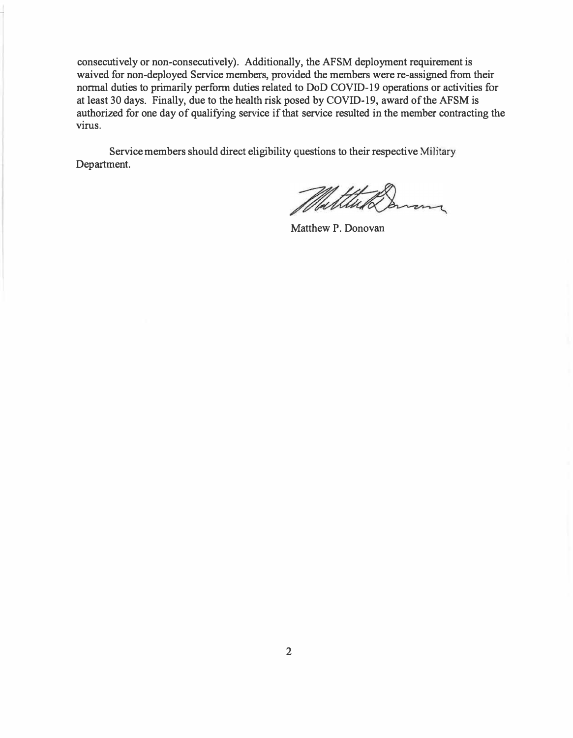consecutively or non-consecutively). Additionally, the AFSM deployment requirement is waived for non-deployed Service members, provided the members were re-assigned from their normal duties to primarily perform duties related to DoD COVID-19 operations or activities for at least 30 days. Finally, due to the health risk posed by COVID-19, award of the AFSM is authorized for one day of qualifying service if that service resulted in the member contracting the virus.

Service members should direct eligibility questions to their respective Military Department.

 $\overline{\mathcal{L}}$ 

Matthew P. Donovan